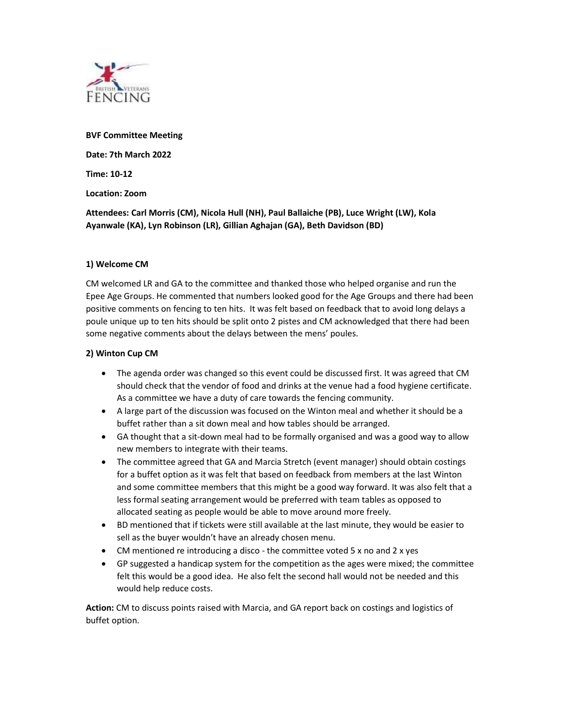

BVF Committee Meeting Date: 7th March 2022

Time: 10-12

Location: Zoom

Attendees: Carl Morris (CM), Nicola Hull (NH), Paul Ballaiche (PB), Luce Wright (LW), Kola Ayanwale (KA), Lyn Robinson (LR), Gillian Aghajan (GA), Beth Davidson (BD)

## 1) Welcome CM

CM welcomed LR and GA to the committee and thanked those who helped organise and run the Epee Age Groups. He commented that numbers looked good for the Age Groups and there had been positive comments on fencing to ten hits. It was felt based on feedback that to avoid long delays a poule unique up to ten hits should be split onto 2 pistes and CM acknowledged that there had been some negative comments about the delays between the mens' poules.

## 2) Winton Cup CM

- The agenda order was changed so this event could be discussed first. It was agreed that CM should check that the vendor of food and drinks at the venue had a food hygiene certificate. As a committee we have a duty of care towards the fencing community.
- A large part of the discussion was focused on the Winton meal and whether it should be a buffet rather than a sit down meal and how tables should be arranged.
- GA thought that a sit-down meal had to be formally organised and was a good way to allow new members to integrate with their teams.
- The committee agreed that GA and Marcia Stretch (event manager) should obtain costings for a buffet option as it was felt that based on feedback from members at the last Winton and some committee members that this might be a good way forward. It was also felt that a less formal seating arrangement would be preferred with team tables as opposed to allocated seating as people would be able to move around more freely.
- BD mentioned that if tickets were still available at the last minute, they would be easier to sell as the buyer wouldn't have an already chosen menu.
- CM mentioned re introducing a disco the committee voted 5 x no and 2 x yes
- GP suggested a handicap system for the competition as the ages were mixed; the committee felt this would be a good idea. He also felt the second hall would not be needed and this would help reduce costs.

Action: CM to discuss points raised with Marcia, and GA report back on costings and logistics of buffet option.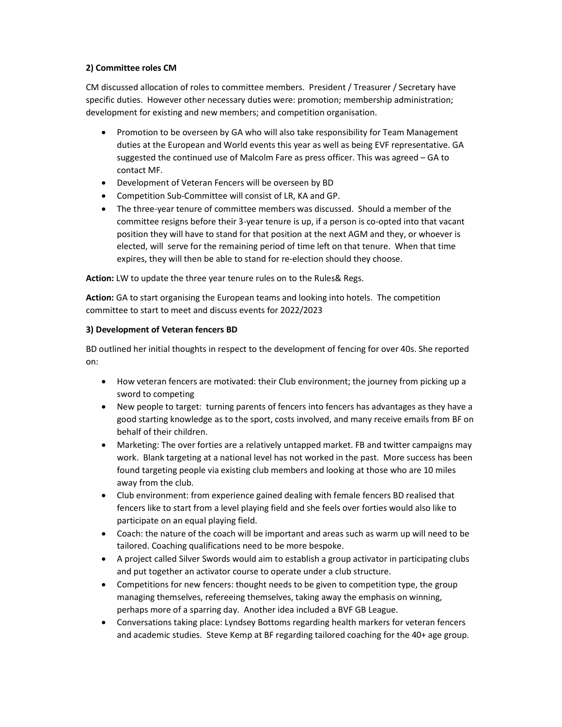# 2) Committee roles CM

CM discussed allocation of roles to committee members. President / Treasurer / Secretary have specific duties. However other necessary duties were: promotion; membership administration; development for existing and new members; and competition organisation.

- Promotion to be overseen by GA who will also take responsibility for Team Management duties at the European and World events this year as well as being EVF representative. GA suggested the continued use of Malcolm Fare as press officer. This was agreed – GA to contact MF.
- Development of Veteran Fencers will be overseen by BD
- Competition Sub-Committee will consist of LR, KA and GP.
- The three-year tenure of committee members was discussed. Should a member of the committee resigns before their 3-year tenure is up, if a person is co-opted into that vacant position they will have to stand for that position at the next AGM and they, or whoever is elected, will serve for the remaining period of time left on that tenure. When that time expires, they will then be able to stand for re-election should they choose.

Action: LW to update the three year tenure rules on to the Rules& Regs.

Action: GA to start organising the European teams and looking into hotels. The competition committee to start to meet and discuss events for 2022/2023

## 3) Development of Veteran fencers BD

BD outlined her initial thoughts in respect to the development of fencing for over 40s. She reported on:

- How veteran fencers are motivated: their Club environment; the journey from picking up a sword to competing
- New people to target: turning parents of fencers into fencers has advantages as they have a good starting knowledge as to the sport, costs involved, and many receive emails from BF on behalf of their children.
- Marketing: The over forties are a relatively untapped market. FB and twitter campaigns may work. Blank targeting at a national level has not worked in the past. More success has been found targeting people via existing club members and looking at those who are 10 miles away from the club.
- Club environment: from experience gained dealing with female fencers BD realised that fencers like to start from a level playing field and she feels over forties would also like to participate on an equal playing field.
- Coach: the nature of the coach will be important and areas such as warm up will need to be tailored. Coaching qualifications need to be more bespoke.
- A project called Silver Swords would aim to establish a group activator in participating clubs and put together an activator course to operate under a club structure.
- Competitions for new fencers: thought needs to be given to competition type, the group managing themselves, refereeing themselves, taking away the emphasis on winning, perhaps more of a sparring day. Another idea included a BVF GB League.
- Conversations taking place: Lyndsey Bottoms regarding health markers for veteran fencers and academic studies. Steve Kemp at BF regarding tailored coaching for the 40+ age group.